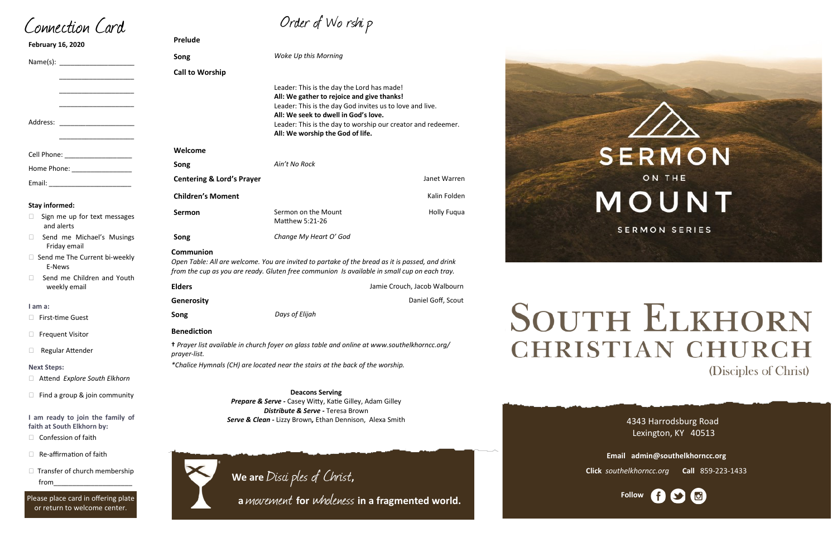| Song                                 | WOKE UP this Morning                                                                                                                                                                                                                                                                             |                              |
|--------------------------------------|--------------------------------------------------------------------------------------------------------------------------------------------------------------------------------------------------------------------------------------------------------------------------------------------------|------------------------------|
| <b>Call to Worship</b>               |                                                                                                                                                                                                                                                                                                  |                              |
|                                      | Leader: This is the day the Lord has made!<br>All: We gather to rejoice and give thanks!<br>Leader: This is the day God invites us to love and live.<br>All: We seek to dwell in God's love.<br>Leader: This is the day to worship our creator and redeemer.<br>All: We worship the God of life. |                              |
| Welcome                              |                                                                                                                                                                                                                                                                                                  |                              |
| Song                                 | Ain't No Rock                                                                                                                                                                                                                                                                                    |                              |
| <b>Centering &amp; Lord's Prayer</b> |                                                                                                                                                                                                                                                                                                  | Janet Warren                 |
| <b>Children's Moment</b>             |                                                                                                                                                                                                                                                                                                  | Kalin Folden                 |
| <b>Sermon</b>                        | Sermon on the Mount<br>Matthew 5:21-26                                                                                                                                                                                                                                                           | <b>Holly Fugua</b>           |
| Song                                 | Change My Heart O' God                                                                                                                                                                                                                                                                           |                              |
| Communion                            | Open Table: All are welcome. You are invited to partake of the bread as it is passed, and drink<br>from the cup as you are ready. Gluten free communion Is available in small cup on each tray.                                                                                                  |                              |
| <b>Elders</b>                        |                                                                                                                                                                                                                                                                                                  | Jamie Crouch, Jacob Walbourn |
| Generosity                           |                                                                                                                                                                                                                                                                                                  | Daniel Goff, Scout           |
| Song                                 | Days of Elijah                                                                                                                                                                                                                                                                                   |                              |
| <b>Benediction</b>                   |                                                                                                                                                                                                                                                                                                  |                              |
|                                      | + Prayer list available in church foyer on glass table and online at www.southelkhorncc.org/                                                                                                                                                                                                     |                              |



# **SOUTH ELKHORN CHRISTIAN CHURCH** (Disciples of Christ)

| <b>February 16, 2020</b>                                                                                                                                                                                                             | <b>Prelude</b>                       |                                                                                                          |
|--------------------------------------------------------------------------------------------------------------------------------------------------------------------------------------------------------------------------------------|--------------------------------------|----------------------------------------------------------------------------------------------------------|
|                                                                                                                                                                                                                                      | Song                                 | Woke Up this Morning                                                                                     |
| <u> 1989 - Johann John Stein, markin fan it ferstjer fan it ferstjer fan it ferstjer fan it ferstjer fan it ferstjer fan it ferstjer fan it ferstjer fan it ferstjer fan it ferstjer fan it ferstjer fan it ferstjer fan it fers</u> | <b>Call to Worship</b>               |                                                                                                          |
| Address: ________________________                                                                                                                                                                                                    |                                      | Leader: This is the day<br>All: We gather to rejoi<br>Leader: This is the day<br>All: We seek to dwell i |
| <u> 1980 - Johann John Stone, mars and de final and de final and definition of the store of the store of the store of the store of the store of the store of the store of the store of the store of the store of the store of th</u> |                                      | Leader: This is the day<br>All: We worship the G                                                         |
| Cell Phone: ____________________                                                                                                                                                                                                     | Welcome                              |                                                                                                          |
| Home Phone: ____________________                                                                                                                                                                                                     | Song                                 | Ain't No Rock                                                                                            |
|                                                                                                                                                                                                                                      | <b>Centering &amp; Lord's Prayer</b> |                                                                                                          |
|                                                                                                                                                                                                                                      | <b>Children's Moment</b>             |                                                                                                          |
| <b>Stay informed:</b><br>Sign me up for text messages<br>$\Box$<br>and alerts                                                                                                                                                        | Sermon                               | Sermon on the Mount<br>Matthew 5:21-26                                                                   |
| Send me Michael's Musings<br>П.<br>Friday email                                                                                                                                                                                      | Song                                 | Change My Heart O' G                                                                                     |
| $\Box$ . Considering The Company let the children                                                                                                                                                                                    | Communion                            |                                                                                                          |

 $\Box$  Send me The Current bi-weekly E-News

□ Send me Children and Youth weekly email

*prayer-list.*

 $\Box$  Transfer of church membership from\_\_\_\_\_\_\_\_\_\_\_\_\_\_\_\_\_\_\_\_\_

*\*Chalice Hymnals (CH) are located near the stairs at the back of the worship.*

4343 Harrodsburg Road Lexington, KY 40513



**Email admin@southelkhorncc.org**

**Click** *southelkhorncc.org* **Call** 859-223-1433

Connection Card

|  | Order of Worship |  |
|--|------------------|--|
|--|------------------|--|

#### **I am a:**

□ First-time Guest

□ Frequent Visitor

□ Regular Attender

#### **Next Steps:**

Attend *Explore South Elkhorn*

 $\Box$  Find a group & join community

**I am ready to join the family of faith at South Elkhorn by:**

 $\Box$  Confession of faith

 $\Box$  Re-affirmation of faith

Please place card in offering plate or return to welcome center.

**Deacons Serving**  *Prepare & Serve -* Casey Witty, Katie Gilley, Adam Gilley *Distribute & Serve -* Teresa Brown *Serve & Clean -* Lizzy Brown*,* Ethan Dennison, Alexa Smith



**We are** Disci ples of Christ**,** 

 **<sup>a</sup>**movement **for** wholeness **in a fragmented world.**